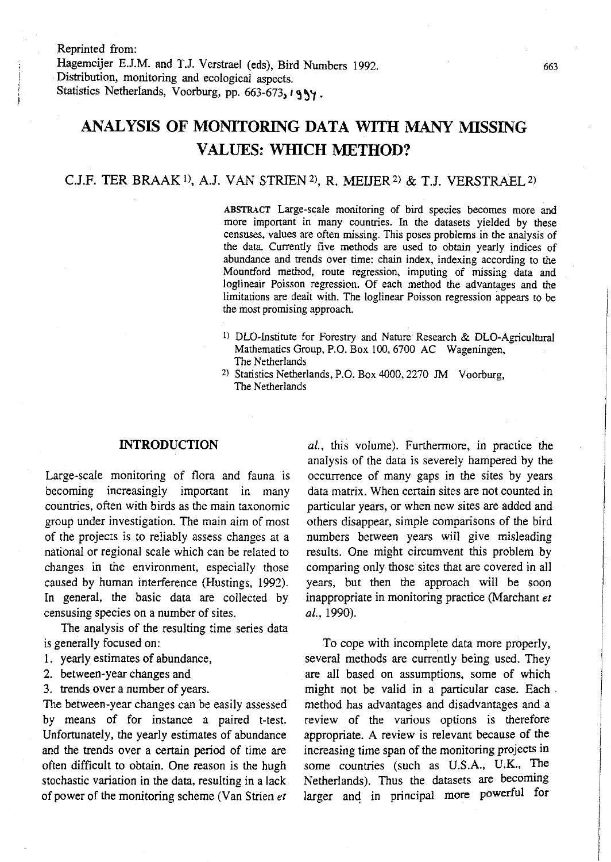Reprinted from: Hagemeijer E.J.M. and T.J. Verstrael (eds), Bird Numbers 1992. 663 Distribution, monitoring and ecological aspects. Statistics Netherlands, Voorburg, pp. 663-673, 1994.

# **ANALYSIS OF MONITORING DATA WITH MANY MISSING VALVES: WlllCH METHOD?**

# C.J.F. TER BRAAK<sup>1</sup>, A.J. VAN STRIEN<sup>2</sup>, R. MEIJER<sup>2</sup> & T.J. VERSTRAEL<sup>2)</sup>

ABSTRACT Large-scale monitoring of bird species becomes more and more important in many countries. In the datasets yielded by these censuses, values are often missing. This poses problems in the analysis of the data. Currently five methods are used to obtain yearly indices of abundance and trends over time: chain index, indexing according to the Mountford method, route regression, imputing of missing data and loglineair Poisson regression. Of each method the advantages and the limitations are dealt with. The loglinear Poisson regression appears to be the most promising approach.

- 1) DLO-Institute for Forestry and Nature Research & DLO-Agricultural Mathematics Group, P.O. Box !00, 6700 AC Wageningen, The Netherlands
- 2) Statistics Netherlands, P.O. Box 4000, 2270 JM Voorburg, The Netherlands

# **INTRODUCTION**

Large-scale monitoring of flora and fauna is becoming increasingly important in many countries, often with birds as the main taxonomic group under investigation. The main aim of most of the projects is to reliably assess changes at a national or regional scale which can be related to changes in the environment, especially those caused by human interference (Hustings, 1992). In general, the basic data are collected by censusing species on a number of sites.

The analysis of the resulting time series data is generally focused on:

- I. yearly estimates of abundance,
- 2. between-year changes and
- 3. trends over a number of years.

The between-year changes can be easily assessed by means of for instance a paired t-test. Unfortunately, the yearly estimates of abundance and the trends over a certain period of time are often difficult to obtain. One reason is the hugh stochastic variation in the data, resulting in a lack of power of the monitoring scheme (Van Strien *et* 

*a/.,* this volume). Furthermore, in practice the analysis of the data is severely hampered by the occurrence of many gaps in the sites by years data matrix. When certain sites are not counted in particular years, or when new sites are added and others disappear, simple comparisons of the bird numbers between years will give misleading results. One might circumvent this problem by comparing only those sites that are covered in all years, but then the approach will be soon inappropriate in monitoring practice (Marchant *et al.,* 1990).

To cope with incomplete data more properly, several methods are currently being used. They are all based on assumptions, some of which might not be valid in a particular case. Each . method has advantages and disadvantages and a review of the various options is therefore appropriate. A review is relevant because of the increasing time span of the monitoring projects in some countries (such as U.S.A., U.K., The Netherlands). Thus the datasets are becoming larger and in principal more powerful for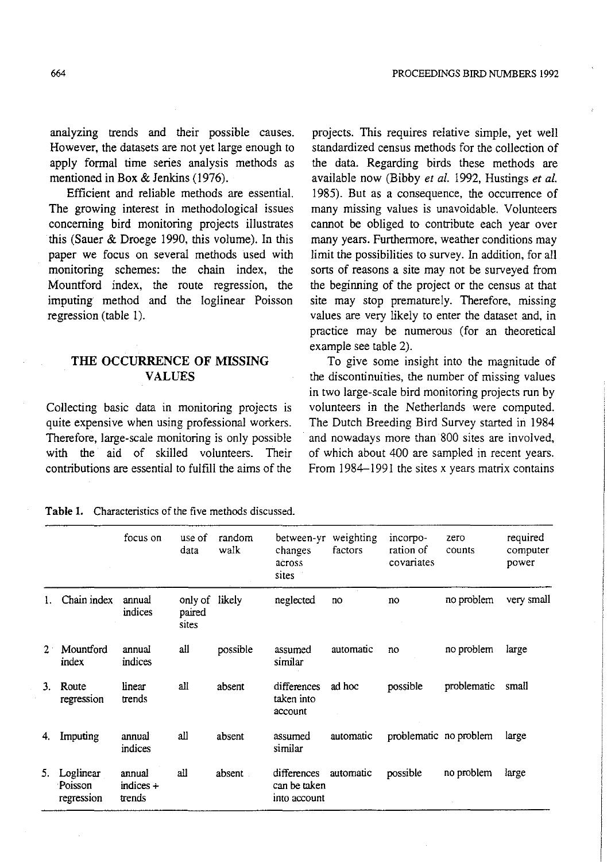analyzing trends and their possible causes. However, the datasets are not yet large enough to apply formal time series analysis methods as mentioned in Box & Jenkins (1976).

Efficient and reliable methods are essential. The growing interest in methodological issues concerning bird monitoring projects illustrates this (Sauer & Droege 1990, this volume). In this paper we focus on several methods used with monitoring schemes: the chain index, the Mountford index, the route regression, the imputing method and the loglinear Poisson regression (table 1).

# **THE OCCURRENCE OF MISSING VALUES**

Collecting basic data in monitoring projects is quite expensive when using professional workers. Therefore, large-scale monitoring is only possible with the aid of skilled volunteers. Their contributions are essential to fulfill the aims of the

projects. This requires relative simple, yet well standardized census methods for the collection of the data. Regarding birds these methods are available now (Bibby *et al.* 1992, Hustings *et al.* 1985). But as a consequence, the occurrence of many missing values is unavoidable. Volunteers cannot be obliged to contribute each year over many years. Furthermore, weather conditions may limit the possibilities to survey. In addition, for all sorts of reasons a site may not be surveyed from the beginning of the project or the census at that site may stop prematurely. Therefore, missing values are very likely to enter the dataset and, in practice may be numerous (for an theoretical example see table 2).

To give some insight into the magnitude of the discontinuities, the number of missing values in two large-scale bird monitoring projects run by volunteers in the Netherlands were computed. The Dutch Breeding Bird Survey started in 1984 and nowadays more than 800 sites are involved, of which about 400 are sampled in recent years. From 1984-1991 the sites x years matrix contains

**Table 1.** Characteristics of the five methods discussed.

|       |                                       | focus on                        | use of<br>data             | random<br>walk | between-yr-<br>changes<br>across<br>sites   | weighting<br>factors | incorpo-<br>ration of<br>covariates | zero<br>counts | required<br>computer<br>power |
|-------|---------------------------------------|---------------------------------|----------------------------|----------------|---------------------------------------------|----------------------|-------------------------------------|----------------|-------------------------------|
|       | Chain index                           | annual<br>indices               | only of<br>paired<br>sites | likely         | neglected                                   | no                   | no                                  | no problem     | very small                    |
| $2^+$ | Mountford<br>index                    | annual<br>indices               | all                        | possible       | assumed<br>similar                          | automatic            | no                                  | no problem     | large                         |
| 3.    | Route<br>regression                   | linear<br>trends                | all                        | absent         | differences<br>taken into<br>account        | ad hoc               | possible                            | problematic    | small                         |
| 4.    | Imputing                              | annual<br>indices               | all                        | absent         | assumed<br>similar                          | automatic            | problematic no problem              |                | large                         |
|       | 5. Loglinear<br>Poisson<br>regression | annual<br>indices $+$<br>trends | all                        | absent         | differences<br>can be taken<br>into account | automatic            | possible                            | no problem     | large                         |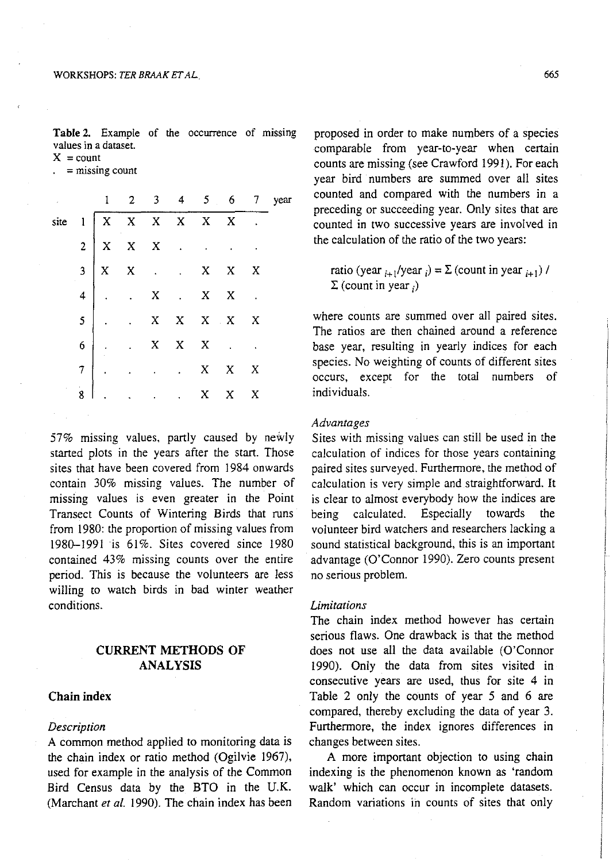**Table** 2. Example of the occurrence of missing values in a dataset.  $X = count$ 

= missing count

|      |                |                |  |                       |                                                                    |                  |                  | 1 2 3 4 5 6 7 year |
|------|----------------|----------------|--|-----------------------|--------------------------------------------------------------------|------------------|------------------|--------------------|
| site |                |                |  |                       |                                                                    |                  |                  |                    |
|      | $\overline{2}$ |                |  | $X \times X \times Y$ |                                                                    |                  |                  |                    |
|      | $\overline{3}$ |                |  |                       | $X \times X$ . $X \times X$ x x                                    |                  |                  |                    |
|      | $\overline{4}$ |                |  |                       |                                                                    |                  |                  |                    |
|      | $\mathfrak s$  |                |  |                       |                                                                    |                  |                  |                    |
|      | 6              |                |  |                       | $\begin{array}{ccccccccc}\n\cdot & & X & & X & & X & \end{array}.$ |                  |                  |                    |
|      |                | $\blacksquare$ |  |                       | $\overline{X}$ $X$ $X$ $X$                                         |                  |                  |                    |
|      |                |                |  |                       | $\mathbf X$                                                        | $\boldsymbol{X}$ | $\boldsymbol{X}$ |                    |

57% missing values, partly caused by newly started plots in the years after the start. Those sites that have been covered from 1984 onwards contain 30% missing values. The number of missing values is even greater in the Point Transect Counts of Wintering Birds that runs from 1980: the proportion of missing values from 1980-1991 is 61%. Sites covered since 1980 contained 43% missing counts over the entire period. This is because the volunteers are less willing to watch birds in bad winter weather conditions.

# **CURRENT METHODS OF ANALYSIS**

#### **Chain index**

#### *Description*

A common method applied to monitoring data is the chain index or ratio method (Ogilvie 1967), used for example in the analysis of the Common Bird Census data by the BTO in the U.K. (Marchant *et al.* 1990). The chain index has been

proposed in order to make numbers of a species comparable from year-to-year when certain counts are missing (see Crawford 1991). For each year bird numbers are summed over all sites counted and compared with the numbers in a preceding or succeeding year. Only sites that are counted in two successive years are involved in the calculation of the ratio of the two years:

ratio (year  $_{i+1}/$ year  $_i$ ) =  $\Sigma$  (count in year  $_{i+1}$ ) /  $\Sigma$  (count in year,)

where counts are summed over all paired sites. The ratios are then chained around a reference base year, resulting in yearly indices for each species. No weighting of counts of different sites occurs, except for the total numbers of individuals.

#### *Advantages*

Sites with missing values can still be used in the calculation of indices for those years containing paired sites surveyed. Furthermore, the method of calculation is very simple and straightforward. It is clear to almost everybody how the indices are being calculated. Especially towards the volunteer bird watchers and researchers lacking a sound statistical background, this is an important advantage (O'Connor 1990). Zero counts present no serious problem.

#### *Limitations*

The chain index method however has certain serious flaws. One drawback is that the method does not use all the data available (O'Connor 1990). Only the data from sites visited in consecutive years are used, thus for site 4 in Table 2 only the counts of year 5 and 6 are compared, thereby excluding the data of year 3. Furthermore, the index ignores differences in changes between sites.

A more important objection to using chain indexing is the phenomenon known as 'random walk' which can occur in incomplete datasets. Random variations in counts of sites that only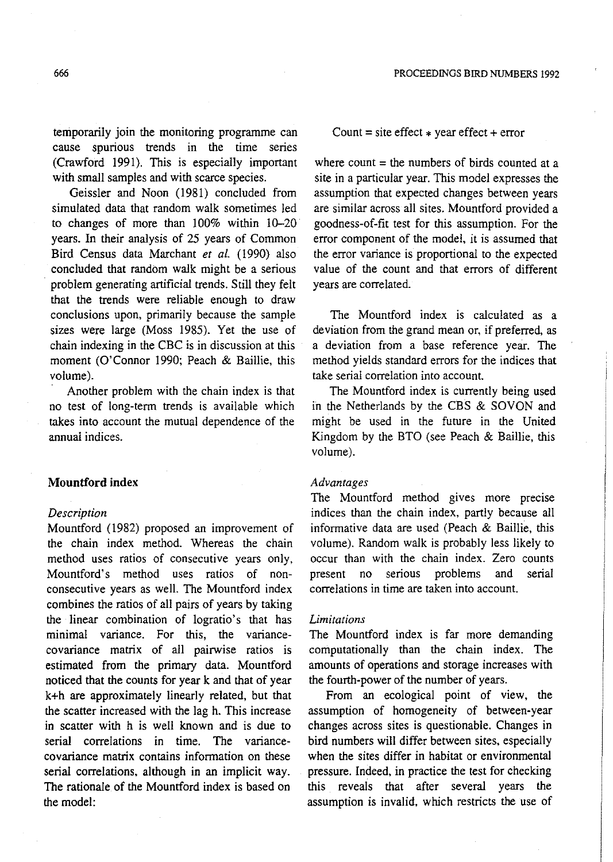temporarily join the monitoring programme can cause spurious trends in the time series (Crawford 1991). This is especially important with small samples and with scarce species.

Geissler and Noon (1981) concluded from simulated data that random walk sometimes led to changes of more than 100% within 10-20 years. In their analysis of 25 years of Common Bird Census data Marchant *et al.* (1990) also concluded that random walk might be a serious problem generating artificial trends. Still they felt that the trends were reliable enough to draw conclusions upon, primarily because the sample sizes were large (Moss 1985). Yet the use of chain indexing in the CBC is in discussion at this moment (O'Connor 1990; Peach & Baillie, this volume).

Another problem with the chain index is that no test of long-term trends is available which takes into account the mutual dependence of the annual indices.

# **Mountford index**

#### *Description*

Mountford (1982) proposed an improvement of the chain index method. Whereas the chain method uses ratios of consecutive years only, Mountford's method uses ratios of nonconsecutive years as well. The Mountford index combines the ratios of all pairs of years by taking the linear combination of logratio's that has minimal variance. For this, the variancecovariance matrix of all pairwise ratios is estimated from the primary data. Mountford noticed that the counts for year k and that of year k+h are approximately linearly related, but that the scatter increased with the lag h. This increase in scatter with h is well known and is due to serial correlations in time. The variancecovariance matrix contains information on these serial correlations, although in an implicit way. The rationale of the Mountford index is based on the model:

Count = site effect  $*$  year effect + error

where count  $=$  the numbers of birds counted at a site in a particular year. This model expresses the assumption that expected changes between years are similar across all sites. Mountford provided a goodness-of-fit test for this assumption. For the error component of the model, it is assumed that the error variance is proportional to the expected value of the count and that errors of different years are correlated.

The Mountford index is calculated as a deviation from the grand mean or, if preferred, as a deviation from a base reference year. The method yields standard errors for the indices that take serial correlation into account.

The Mountford index is currently being used in the Netherlands by the CBS & SOVON and might be used in the future in the United Kingdom by the BTO (see Peach & Baillie, this volume).

## *Advantages*

The Mountford method gives more precise indices than the chain index, partly because all informative data are used (Peach & Baillie, this volume). Random walk is probably less likely to occur than with the chain index. Zero counts present no serious problems and serial correlations in time are taken into account.

#### *Limitations*

The Mountford index is far more demanding computationally than the chain index. The amounts of operations and storage increases with the fourth-power of the number of years.

From an ecological point of view, the assumption of homogeneity of between-year changes across sites is questionable. Changes in bird numbers will differ between sites, especially when the sites differ in habitat or environmental pressure. Indeed, in practice the test for checking this reveals that after several years the assumption is invalid, which restricts the use of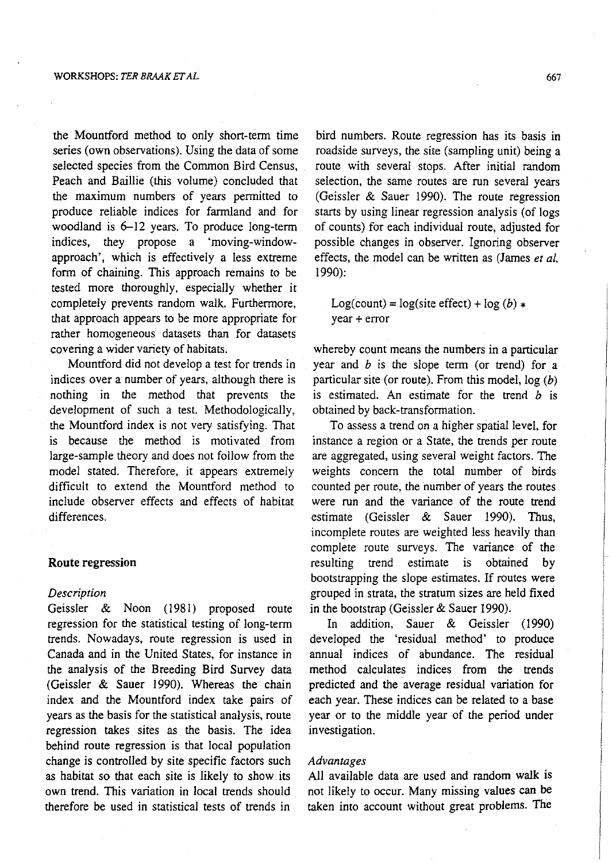the Mountford method to only short-term time series (own observations). Using the data of some selected species from the Common Bird Census, Peach and Baillie (this volume) concluded that the maximum numbers of years permitted to produce reliable indices for farmland and for woodland is 6-12 years. To produce long-term indices, they propose a 'moving-windowapproach', which is effectively a less extreme form of chaining. This approach remains to be tested more thoroughly, especially whether it completely prevents random walk. Furthermore, that approach appears to be more appropriate for rather homogeneous datasets than for datasets covering a wider variety of habitats.

Mountford did not develop a test for trends in indices over a number of years, although there is nothing in the method that prevents the development of such a test. Methodologically, the Mountford index is not very satisfying. That is because the method is motivated from large-sample theory and does not follow from the model stated. Therefore, it appears extremely difficult to extend the Mountford method to include observer effects and effects of habitat differences.

#### **Route** regression

## *Description*

Geissler & Noon (1981) proposed route regression for the statistical testing of long-term trends. Nowadays, route regression is used in Canada and in the United States, for instance in the analysis of the Breeding Bird Survey data (Geissler & Sauer 1990). Whereas the chain index and the Mountford index take pairs of years as the basis for the statistical analysis, route regression takes sites as the basis. The idea behind route regression is that local population change is controlled by site specific factors such as habitat so that each site is likely to show its own trend. This variation in local trends should therefore be used in statistical tests of trends in

bird numbers. Route regression has its basis in roadside surveys, the site (sampling unit) being a route with several stops. After initial random selection, the same routes are run several years (Geissler  $&$  Sauer 1990). The route regression starts by using linear regression analysis (of logs of counts) for each individual route, adjusted for possible changes in observer. Ignoring observer effects, the model can be written as (James *et al.*  1990):

Log(count) =  $log(site$  effect) +  $log (b) *$ year + error

whereby count means the numbers in a particular year and *b* is the slope term (or trend) for a particular site (or route). From this model,  $log (b)$ is estimated. An estimate for the trend *b* is obtained by back-transformation.

To assess a trend on a higher spatial level, for instance a region or a State, the trends per route are aggregated, using several weight factors. The weights concern the total number of birds counted per route, the number of years the routes were run and the variance of the route trend estimate (Geissler & Sauer 1990). Thus, incomplete routes are weighted less heavily than complete route surveys. The variance of the resulting trend estimate is obtained by bootstrapping the slope estimates. If routes were grouped in strata, the stratum sizes are held fixed in the bootstrap (Geissler & Sauer 1990).

In addition, Sauer & Geissler (1990) developed the 'residual method' to produce annual indices of abundance. The residual method calculates indices from the trends predicted and the average residual variation for each year. These indices can be related to a base year or to the middle year of the period under investigation.

# *Advantages*

All available data are used and random walk is not likely to occur. Many missing values can be taken into account without great problems. The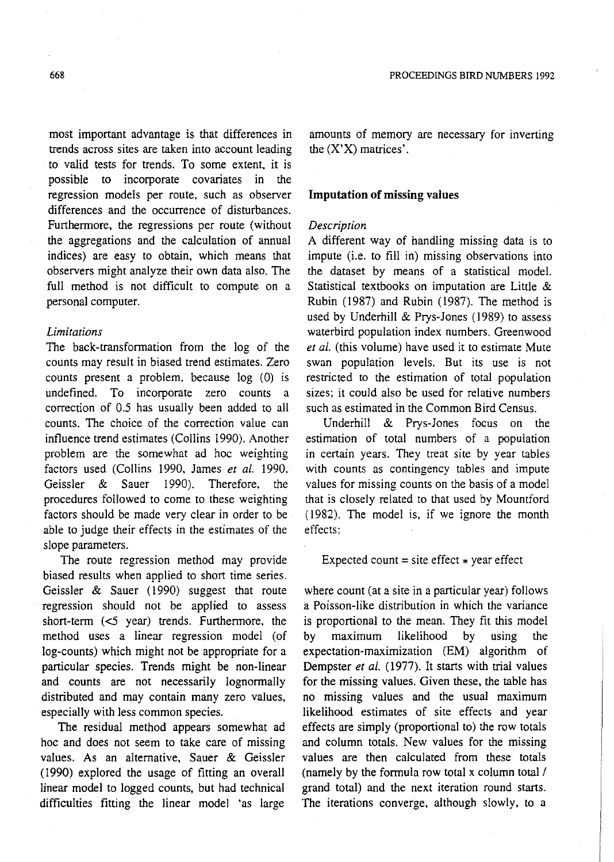most important advantage is that differences in trends across sites are taken into account leading to valid tests for trends. To some extent, it is possible to incorporate covariates in the regression models per route, such as observer differences and the occurrence of disturbances. Furthermore, the regressions per route (without the aggregations and the calculation of annual indices) are easy to obtain, which means that observers might analyze their own data also. The full method is not difficult to compute on a personal computer.

## *Limitations*

The back-transformation from the log of the counts may result in biased trend estimates. Zero counts present a problem, because log (0) is undefined. To incorporate zero counts a correction of 0.5 has usually been added to all counts. The choice of the correction value can influence trend estimates (Collins 1990). Another problem are the somewhat ad hoc weighting factors used (Collins 1990, James *et a/.* !990. Geissler & Sauer 1990). Therefore, the procedures followed to come to these weighting factors should be made very clear in order to be able to judge their effects in the estimates of the slope parameters.

The route regression method may provide biased results when applied to short time series. Geissler & Sauer (1990) suggest that route regression should not be applied to assess short-term (<5 year) trends. Furthermore, the method uses a linear regression model (of log-counts) which might not be appropriate for a particular species. Trends might be non-linear and counts are not necessarily lognormally distributed and may contain many zero values, especially with less common species.

The residual method appears somewhat ad hoc and does not seem to take care of missing values. As an alternative, Sauer & Geissler (1990) explored the usage of fitting an overall linear model to logged counts, but had technical difficulties fitting the linear model 'as large

amounts of memory are necessary for inverting the  $(X'X)$  matrices'.

## **Imputation of missing values**

## *Description*

A different way of handling missing data is to impute (i.e. to fill in) missing observations into the dataset by means of a statistical model. Statistical textbooks on imputation are Little & Rubin (1987) and Rubin (1987). The method is used by Underhill & Prys-Jones (1989) to assess waterbird population index numbers. Greenwood et al. (this volume) have used it to estimate Mute swan population levels. But its use is not restricted to the estimation of total population sizes; it could also be used for relative numbers such as estimated in the Common Bird Census.

Underhill & Prys-Jones focus on the estimation of total numbers of a population in certain years. They treat site by year tables with counts as contingency tables and impute values for missing counts on the basis of a model that is closely related to that used by Mountford ( 1982). The model is, if we ignore the month effects:

## Expected count = site effect  $*$  year effect

where count (at a site in a particular year) follows a Poisson-like distribution in which the variance is proportional to the mean. They fit this model by maximum likelihood by using the expectation-maximization (EM) algorithm of Dempster *et al.* (1977). It starts with trial values for the missing values. Given these, the table has no missing values and the usual maximum likelihood estimates of site effects and year effects are simply (proportional to) the row totals and column totals. New values for the missing values are then calculated from these totals (namely by the formula row total x column total I grand total) and the next iteration round starts. The iterations converge, although slowly, to a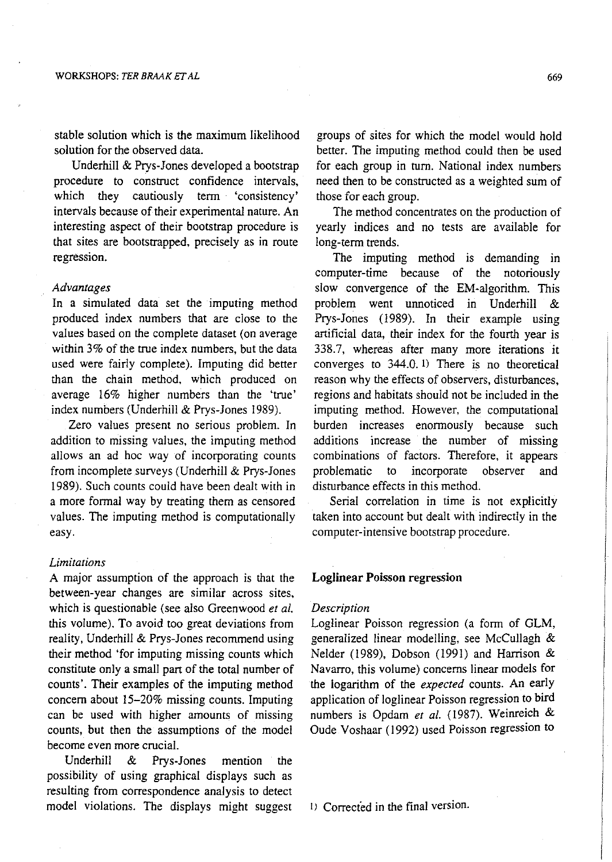stable solution which is the maximum likelihood solution for the observed data.

Underhill & Prys-Jones developed a bootstrap procedure to construct confidence intervals, which they cautiously term 'consistency' intervals because of their experimental nature. An interesting aspect of their bootstrap procedure is that sites are bootstrapped, precisely as in route regression.

#### *Advantages*

In a simulated data set the imputing method produced index numbers that are close to the values based on the complete dataset (on average within 3% of the true index numbers, but the data used were fairly complete). Imputing did better than the chain method, which produced on average 16% higher numbers than the 'true' index numbers (Underhill & Prys-Jones 1989).

Zero values present no serious problem. In addition to missing values, the imputing method allows an ad hoc way of incorporating counts from incomplete surveys (Underhill & Prys-Jones 1989). Such counts could have been dealt with in a more formal way by treating them as censored values. The imputing method is computationally easy.

#### *Limitations*

A major assumption of the approach is that the between-year changes are similar across sites, which is questionable (see also Greenwood *et al.*  this volume). To avoid too great deviations from reality, Underhill & Prys-Jones recommend using their method 'for imputing missing counts which constitute only a small part of the total number of counts'. Their examples of the imputing method concern about 15-20% missing counts. Imputing can be used with higher amounts of missing counts, but then the assumptions of the model become even more crucial.

Underhill & Prys-Jones mention the possibility of using graphical displays such as resulting from correspondence analysis to detect model violations. The displays might suggest groups of sites for which the model would hold better. The imputing method could then be used for each group in turn. National index numbers need then to be constructed as a weighted sum of those for each group.

The method concentrates on the production of yearly indices and no tests are available for long-term trends.

The imputing method is demanding in computer-time because of the notoriously slow convergence of the EM-algorithm. This problem went unnoticed in Underhill & Prys-Jones (1989). In their example using artificial data, their index for the fourth year is 338.7, whereas after many more iterations it converges to 344.0. I) There is no theoretical reason why the effects of observers, disturbances, regions and habitats should not be included in the imputing method. However, the computational burden increases enormously because such additions increase the number of missing combinations of factors. Therefore, it appears problematic to incorporate observer and disturbance effects in this method.

Serial correlation in time is not explicitly taken into account but dealt with indirectly in the computer-intensive bootstrap procedure.

## Loglinear Poisson regression

#### *Description*

Loglinear Poisson regression (a form of GLM, generalized linear modelling, see McCullagh & Neider (1989), Dobson (1991) and Harrison & Navarro, this volume) concerns linear models for the logarithm of the *expected* counts. An early application of loglinear Poisson regression to bird numbers is Opdam *et a/.* (1987). Weinreich & Oude Voshaar (1992) used Poisson regression to

1) Corrected in the final version.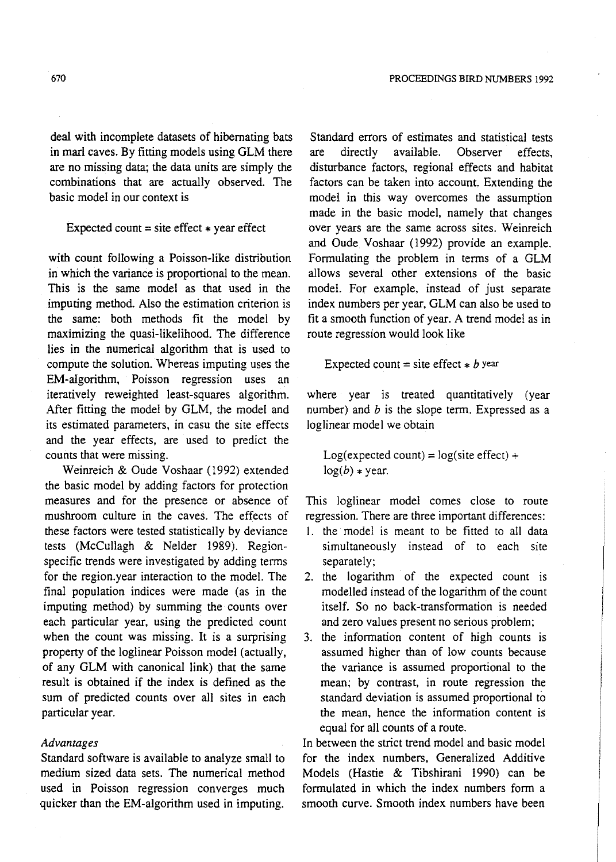deal with incomplete datasets of hibernating bats in marl caves. By fitting models using GLM there are no missing data; the data units are simply the combinations that are actually observed. The basic model in our context is

Expected count  $=$  site effect  $*$  year effect

with count following a Poisson-like distribution in which the variance is proportional to the mean. This is the same model as that used in the imputing method. Also the estimation criterion is the same: both methods fit the model by maximizing the quasi-likelihood. The difference lies in the numerical algorithm that is used to compute the solution. Whereas imputing uses the EM-algorithm, Poisson regression uses an iteratively reweighted least-squares algorithm. After fitting the model by GLM, the model and its estimated parameters, in casu the site effects and the year effects, are used to predict the counts that were missing.

Weinreich & Oude Voshaar (1992) extended the basic model by adding factors for protection measures and for the presence or absence of mushroom culture in the caves. The effects of these factors were tested statistically by deviance tests (McCullagh & Neider 1989). Regionspecific trends were investigated by adding terms for the region. year interaction to the model. The final population indices were made (as in the imputing method) by summing the counts over each particular year, using the predicted count when the count was missing. It is a surprising property of the loglinear Poisson model (actually, of any GLM with canonical link) that the same result is obtained if the index is defined as the sum of predicted counts over all sites in each particular year.

## *Advantages*

Standard software is available to analyze small to medium sized data sets. The numerical method used in Poisson regression converges much quicker than the EM-algorithm used in imputing.

Standard errors of estimates and statistical tests are directly available. Observer effects, disturbance factors, regional effects and habitat factors can be taken into account. Extending the model in this way overcomes the assumption made in the basic model, namely that changes over years are the same across sites. Weinreich and Oude Voshaar ( 1992) provide an example. Formulating the problem in terms of a GLM allows several other extensions of the basic model. For example, instead of just separate index numbers per year, GLM can also be used to fit a smooth function of year. A trend model as in route regression would look like

Expected count = site effect  $*$  *b* year

where year is treated quantitatively (year number) and *b* is the slope term. Expressed as a loglinear model we obtain

Log( expected count) =  $log(site$  effect) +  $log(b) * year.$ 

This loglinear model comes close to route regression. There are three important differences:

- I. the model is meant to be fitted to all data simultaneously instead of to each site separately;
- 2. the logarithm of the expected count is modelled instead of the logarithm of the count itself. So no back-transformation is needed and zero values present no serious problem;
- 3. the information content of high counts is assumed higher than of low counts because the variance is assumed proportional to the mean; by contrast, in route regression the standard deviation is assumed proportional to the mean, hence the information content is equal for all counts of a route.

In between the strict trend model and basic model for the index numbers, Generalized Additive Models (Hastie & Tibshirani 1990) can be formulated in which the index numbers form a smooth curve. Smooth index numbers have been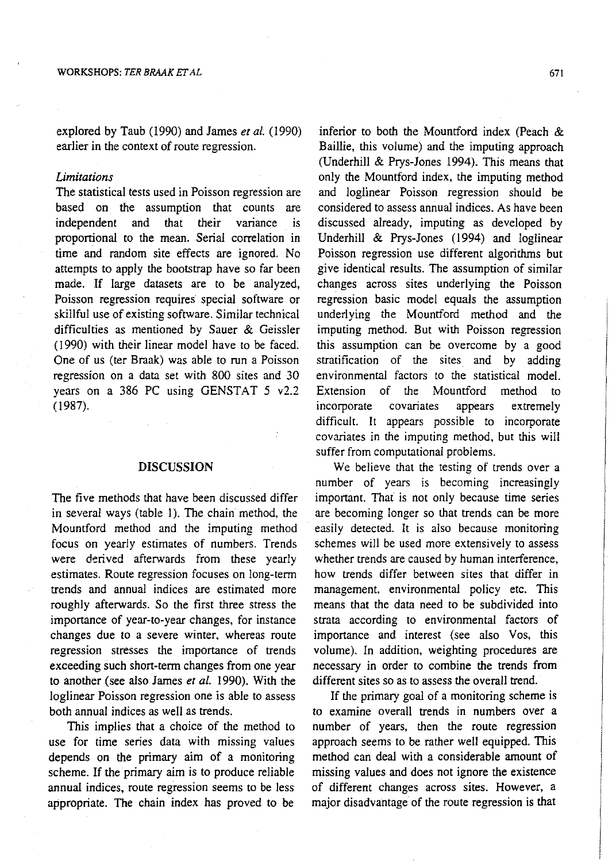explored by Taub (1990) and James *eta/.* (1990) earlier in the context of route regression.

## *Limitations*

The statistical tests used in Poisson regression are based on the assumption that counts are independent and that their variance is proportional to the mean. Serial correlation in time and random site effects are ignored. No attempts to apply the bootstrap have so far been made. If large datasets are to be analyzed, Poisson regression requires special software or skillful use of existing software. Similar technical difficulties as mentioned by Sauer & Geissler (1990) with their linear model have to be faced. One of us (ter Braak) was able to run a Poisson regression on a data set with 800 sites and 30 years on a 386 PC using GENSTAT 5 v2.2 (1987).

# DISCUSSION

The five methods that have been discussed differ in several ways (table I). The chain method, the Mountford method and the imputing method focus on yearly estimates of numbers. Trends were derived afterwards from these yearly estimates. Route regression focuses on long-term trends and annual indices are estimated more roughly afterwards. So the first three stress the importance of year-to-year changes, for instance changes due to a severe winter, whereas route regression stresses the importance of trends exceeding such short-term changes from one year to another (see also James et al. 1990). With the loglinear Poisson regression one is able to assess both annual indices as well as trends.

This implies that a choice of the method to use for time series data with missing values depends on the primary aim of a monitoring scheme. If the primary aim is to produce reliable annual indices, route regression seems to be less appropriate. The chain index has proved to be

inferior to both the Mountford index (Peach & Baillie, this volume) and the imputing approach (Underhill & Prys-Jones 1994). This means that only the Mountford index, the imputing method and loglinear Poisson regression should be considered to assess annual indices. As have been discussed already, imputing as developed by Underhill & Prys-Jones (1994) and loglinear Poisson regression use different algorithms but give identical results. The assumption of similar changes across sites underlying the Poisson regression basic model equals the assumption underlying the Mountford method and the imputing method. But with Poisson regression this assumption can be overcome by a good stratification of the sites and by adding environmental factors to the statistical model. Extension of the Mountford method to incorporate covariates appears extremely difficult. It appears possible to incorporate covariates in the imputing method, but this will suffer from computational problems.

We believe that the testing of trends over a number of years is becoming increasingly important. That is not only because time series are becoming longer so that trends can be more easily detected. It is also because monitoring schemes will be used more extensively to assess whether trends are caused by human interference, how trends differ between sites that differ in management, environmental policy etc. This means that the data need to be subdivided into strata according to environmental factors of importance and interest (see also Vos, this volume). In addition, weighting procedures are necessary in order to combine the trends from different sites so as to assess the overall trend.

If the primary goal of a monitoring scheme is to examine overall trends in numbers over a number of years, then the route regression approach seems to be rather well equipped. This method can deal with a considerable amount of missing values and does not ignore the existence of different changes across sites. However, a major disadvantage of the route regression is that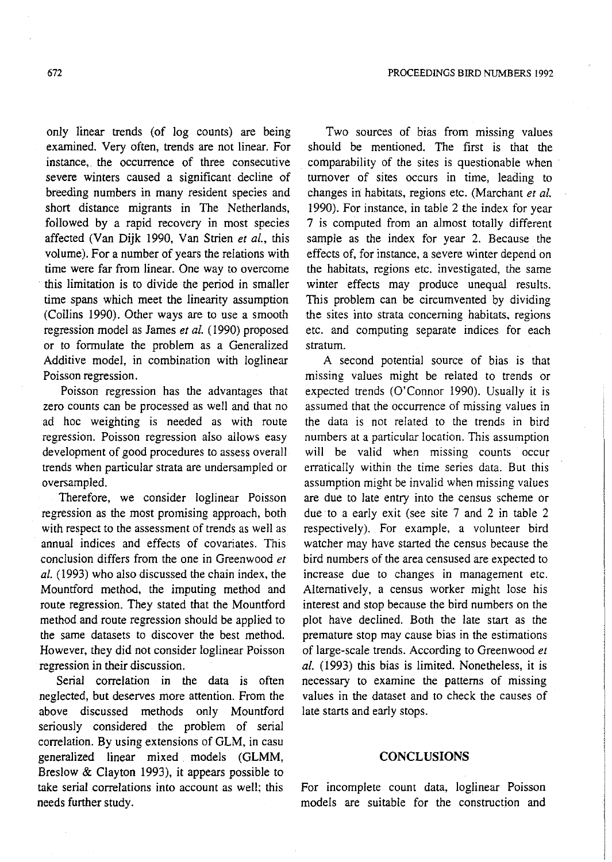only linear trends (of log counts) are being examined. Very often, trends are not linear. For instance, the occurrence of three consecutive severe winters caused a significant decline of breeding numbers in many resident species and short distance migrants in The Netherlands, followed by a rapid recovery in most species affected (Van Dijk 1990, Van Strien *et al.,* this volume). For a number of years the relations with time were far from linear. One way to overcome this limitation is to divide the period in smaller time spans which meet the linearity assumption (Collins 1990). Other ways are to use a smooth regression model as James *et al.* (1990) proposed or to formulate the problem as a Generalized Additive model, in combination with loglinear Poisson regression.

Poisson regression has the advantages that zero counts can be processed as well and that no ad hoc weighting is needed as with route regression. Poisson regression also allows easy development of good procedures to assess overall trends when particular strata are undersampled or oversampled.

Therefore, we consider loglinear Poisson regression as the most promising approach, both with respect to the assessment of trends as well as annual indices and effects of covariates. This conclusion differs from the one in Greenwood *et al.* ( 1993) who also discussed the chain index, the Mountford method, the imputing method and route regression. They stated that the Mountford method and route regression should be applied to the same datasets to discover the best method. However, they did not consider loglinear Poisson regression in their discussion.

Serial correlation in the data is often neglected, but deserves more attention. From the above discussed methods only Mountford seriously considered the problem of serial correlation. By using extensions of GLM, in casu generalized linear mixed models (GLMM, Breslow & Clayton 1993), it appears possible to take serial correlations into account as well; this needs further study.

Two sources of bias from missing values should be mentioned. The first is that the comparability of the sites is questionable when turnover of sites occurs in time, leading to changes in habitats, regions etc. (Marchant *et al.*  1990). For instance, in table 2 the index for year 7 is computed from an almost totally different sample as the index for year 2. Because the effects of, for instance, a severe winter depend on the habitats, regions etc. investigated, the same winter effects may produce unequal results. This problem can be circumvented by dividing the sites into strata concerning habitats, regions etc. and computing separate indices for each stratum.

A second potential source of bias is that missing values might be related to trends or expected trends (O'Connor 1990). Usually it is assumed that the occurrence of missing values in the data is not related to the trends in bird numbers at a particular location. This assumption will be valid when missing counts occur erratically within the time series data. But this assumption might be invalid when missing values are due to late entry into the census scheme or due to a early exit (see site 7 and 2 in table 2 respectively). For example, a volunteer bird watcher may have started the census because the bird numbers of the area censused are expected to increase due to changes in management etc. Alternatively, a census worker might lose his interest and stop because the bird numbers on the plot have declined. Both the late start as the premature stop may cause bias in the estimations of large-scale trends. According to Greenwood *et al.* (1993) this bias is limited. Nonetheless, it is necessary to examine the patterns of missing values in the dataset and to check the causes of late starts and early stops.

## **CONCLUSIONS**

For incomplete count data, loglinear Poisson models are suitable for the construction and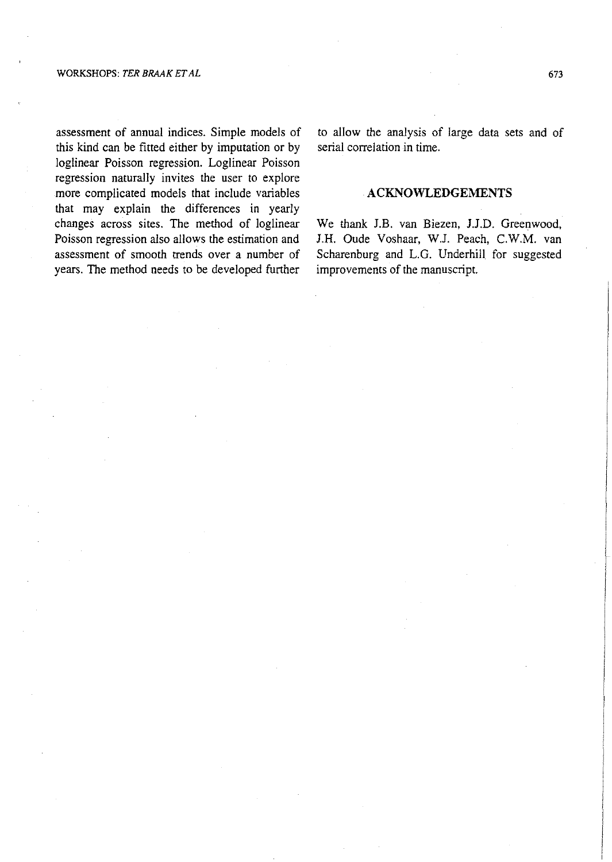assessment of annual indices. Simple models of this kind can be fitted either by imputation or by loglinear Poisson regression. Loglinear Poisson regression naturally invites the user to explore more complicated models that include variables that may explain the differences in yearly changes across sites. The method of loglinear Poisson regression also allows the estimation and assessment of smooth trends over a number of years. The method needs to be developed further to allow the analysis of large data sets and of serial correlation in time.

## **ACKNOWLEDGEMENTS**

We thank J.B. van Biezen, J.J.D. Greenwood, J.H. Oude Voshaar, W.J. Peach, C.W.M. van Scharenburg and L.G. Underhill for suggested improvements of the manuscript.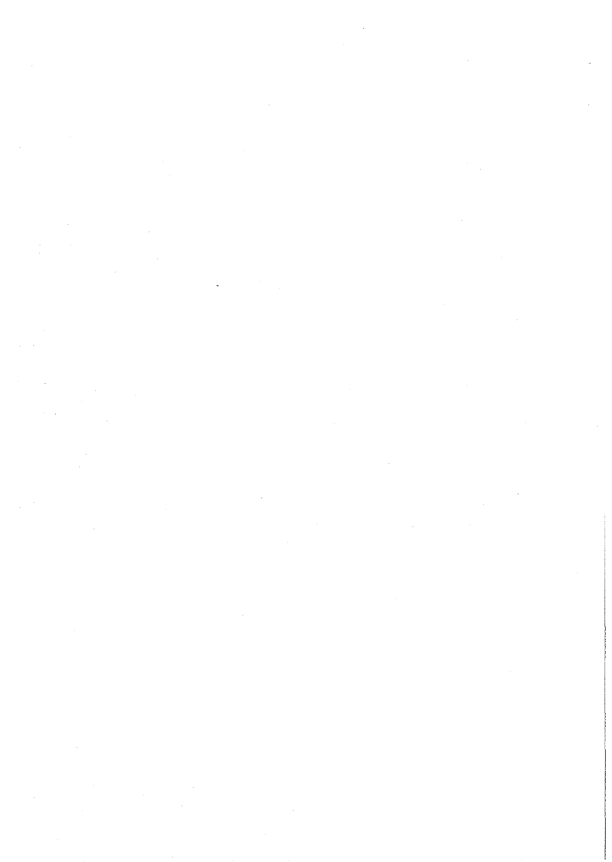$\label{eq:2.1} \frac{1}{\sqrt{2\pi}}\int_{0}^{\pi} \frac{1}{\sqrt{2\pi}}\left(\frac{1}{\sqrt{2\pi}}\right)^{2\pi} \frac{1}{\sqrt{2\pi}}\frac{1}{\sqrt{2\pi}}\int_{0}^{\pi} \frac{1}{\sqrt{2\pi}}\frac{1}{\sqrt{2\pi}}\frac{1}{\sqrt{2\pi}}\frac{1}{\sqrt{2\pi}}\frac{1}{\sqrt{2\pi}}\frac{1}{\sqrt{2\pi}}\frac{1}{\sqrt{2\pi}}\frac{1}{\sqrt{2\pi}}\frac{1}{\sqrt{2\pi}}\frac{1}{\sqrt{2\pi}}\frac{$ 

 $\frac{1}{\sqrt{2}}\int_{0}^{\sqrt{2}}\frac{1}{\sqrt{2}}\left( \frac{1}{2}\right) ^{2}d\mu$ 

 $\label{eq:2.1} \frac{1}{\sqrt{2}}\int_{0}^{\infty}\frac{1}{\sqrt{2\pi}}\left(\frac{1}{\sqrt{2\pi}}\right)^{2\alpha} \frac{1}{\sqrt{2\pi}}\int_{0}^{\infty}\frac{1}{\sqrt{2\pi}}\left(\frac{1}{\sqrt{2\pi}}\right)^{\alpha} \frac{1}{\sqrt{2\pi}}\frac{1}{\sqrt{2\pi}}\int_{0}^{\infty}\frac{1}{\sqrt{2\pi}}\frac{1}{\sqrt{2\pi}}\frac{1}{\sqrt{2\pi}}\frac{1}{\sqrt{2\pi}}\frac{1}{\sqrt{2\pi}}\frac{1}{\sqrt{2\pi}}$ 

 $\label{eq:2.1} \frac{1}{\sqrt{2}}\int_{0}^{\infty}\frac{1}{\sqrt{2\pi}}\left(\frac{1}{\sqrt{2\pi}}\right)^{2}d\mu\,d\mu\,.$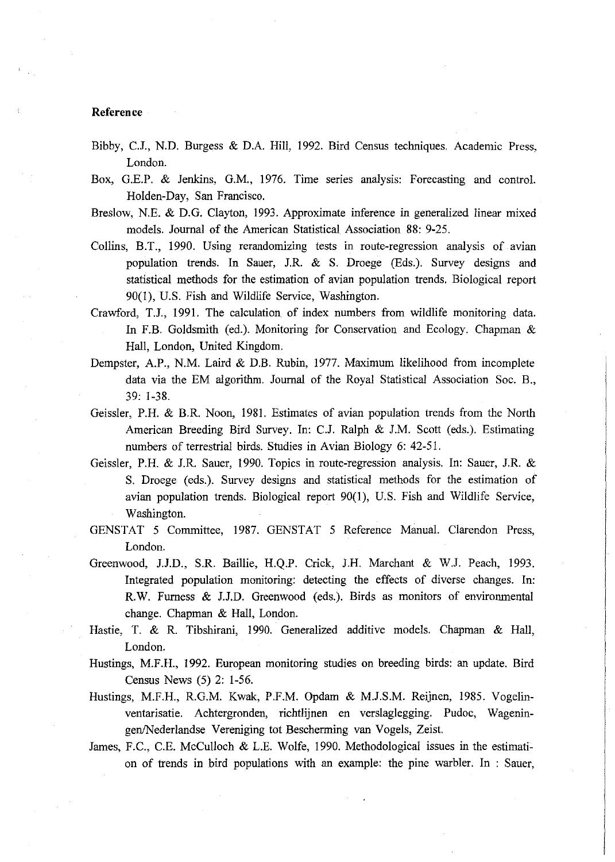## **Reference**

- Bibby, C.J., N.D. Burgess & D.A. Hill, 1992. Bird Census techniques. Academic Press, London.
- Box, G.E.P. & Jenkins, G.M., 1976. Time series analysis: Forecasting and control. Holden-Day, San Francisco.
- Breslow, N.E. & D.G. Clayton, 1993. Approximate inference in generalized linear mixed models. Journal of the American Statistical Association 88: 9-25.
- Collins, B.T., 1990. Using rerandomizing tests in route-regression analysis of avian population trends. In Sauer, J.R. & S. Droege (Eds.). Survey designs and statistical methods for the estimation of avian population trends. Biological report 90(1), U.S. Fish and Wildlife Service, Washington.
- Crawford, T.J., 1991. The calculation of index numbers from wildlife monitoring data. In F.B. Goldsmith (ed.). Monitoring for Conservation and Ecology. Chapman & Hall, London, United Kingdom.
- Dempster, A.P., N.M. Laird & D.B. Rubin, 1977. Maximum likelihood from incomplete data via the EM algorithm. Journal of the Royal Statistical Association Soc. B., 39: 1-38.
- Geissler, P.H. & B.R. Noon, 1981. Estimates of avian population trends from the North American Breeding Bird Survey. In: C.J. Ralph & J.M. Scott (eds.). Estimating numbers of terrestrial birds. Studies in Avian Biology 6: 42-51.
- Geissler, P.H. & J.R. Sauer, 1990. Topics in route-regression analysis. In: Sauer, J.R. & S. Droege (eds.). Survey designs and statistical methods for the estimation of avian population trends. Biological report 90(1), U.S. Fish and Wildlife Service, Washington.
- GENSTAT 5 Committee, 1987. GENSTAT 5 Reference Manual. Clarendon Press, London.
- Greenwood, J.J.D., S.R. Baillie, H.Q.P. Crick, J.H. Marchant & W.J. Peach, 1993. Integrated population monitoring: detecting the effects of diverse changes. In: R.W. Furness & J.J.D. Greenwood (eds.). Birds as monitors of environmental change. Chapman & Hall, London.
- Hastie, T. & R. Tibshirani, 1990. Generalized additive models. Chapman & Hall, London.
- Hustings, M.F.H., 1992. European monitoring studies on breeding birds: an update. Bird Census News (5) 2: 1-56.
- Hustings, M.F.H., R.G.M. Kwak, P.F.M. Opdam & M.J.S.M. Reijnen, 1985. Vogelinventarisatie. Achtergronden, richtlijnen en verslaglegging. Pudoc, Wageningen/Nederlandse Vereniging tot Bescherming van Vogels, Zeist.
- James, F.C., C.E. McCulloch & L.E. Wolfe, 1990. Methodological issues in the estimation of trends in bird populations with an example: the pine warbler. In : Sauer,